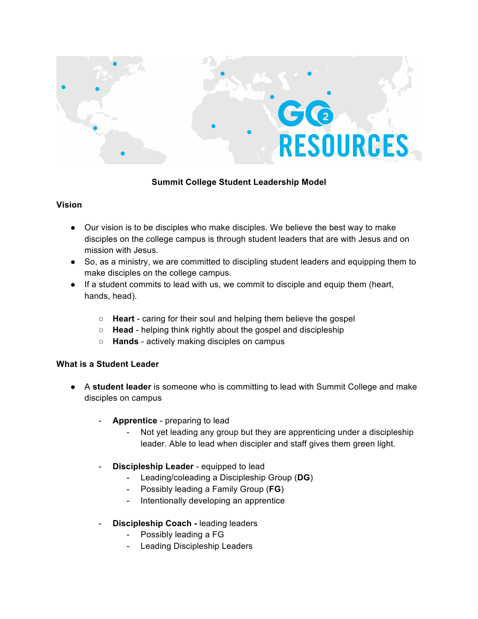

### **Summit College Student Leadership Model**

#### **Vision**

- Our vision is to be disciples who make disciples. We believe the best way to make disciples on the college campus is through student leaders that are with Jesus and on mission with Jesus.
- So, as a ministry, we are committed to discipling student leaders and equipping them to make disciples on the college campus.
- If a student commits to lead with us, we commit to disciple and equip them (heart, hands, head).
	- **Heart** caring for their soul and helping them believe the gospel
	- **Head** helping think rightly about the gospel and discipleship
	- **Hands** actively making disciples on campus

#### **What is a Student Leader**

- A **student leader** is someone who is committing to lead with Summit College and make disciples on campus
	- **Apprentice** preparing to lead
		- Not yet leading any group but they are apprenticing under a discipleship leader. Able to lead when discipler and staff gives them green light.
	- **Discipleship Leader** equipped to lead
		- Leading/coleading a Discipleship Group (**DG**)
		- Possibly leading a Family Group (**FG**)
		- Intentionally developing an apprentice
	- **Discipleship Coach -** leading leaders
		- Possibly leading a FG
		- Leading Discipleship Leaders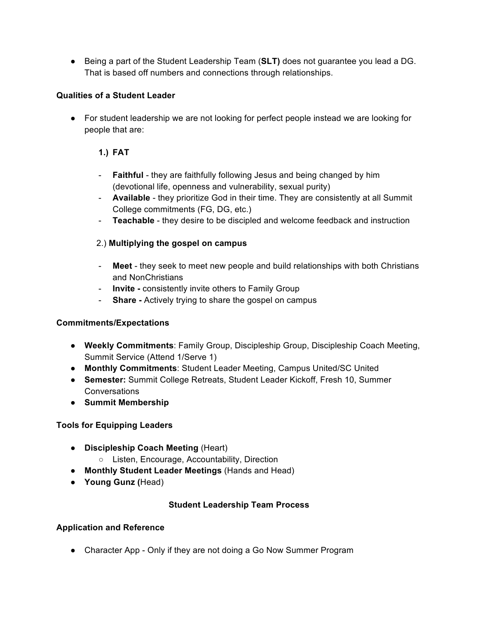● Being a part of the Student Leadership Team (**SLT)** does not guarantee you lead a DG. That is based off numbers and connections through relationships.

## **Qualities of a Student Leader**

● For student leadership we are not looking for perfect people instead we are looking for people that are:

# **1.) FAT**

- **Faithful** they are faithfully following Jesus and being changed by him (devotional life, openness and vulnerability, sexual purity)
- **Available** they prioritize God in their time. They are consistently at all Summit College commitments (FG, DG, etc.)
- **Teachable** they desire to be discipled and welcome feedback and instruction

# 2.) **Multiplying the gospel on campus**

- **Meet**  they seek to meet new people and build relationships with both Christians and NonChristians
- **Invite -** consistently invite others to Family Group
- **Share -** Actively trying to share the gospel on campus

## **Commitments/Expectations**

- **Weekly Commitments**: Family Group, Discipleship Group, Discipleship Coach Meeting, Summit Service (Attend 1/Serve 1)
- **Monthly Commitments**: Student Leader Meeting, Campus United/SC United
- **Semester:** Summit College Retreats, Student Leader Kickoff, Fresh 10, Summer **Conversations**
- **Summit Membership**

## **Tools for Equipping Leaders**

- **Discipleship Coach Meeting** (Heart)
	- Listen, Encourage, Accountability, Direction
- **Monthly Student Leader Meetings** (Hands and Head)
- **Young Gunz (**Head)

## **Student Leadership Team Process**

## **Application and Reference**

● Character App - Only if they are not doing a Go Now Summer Program